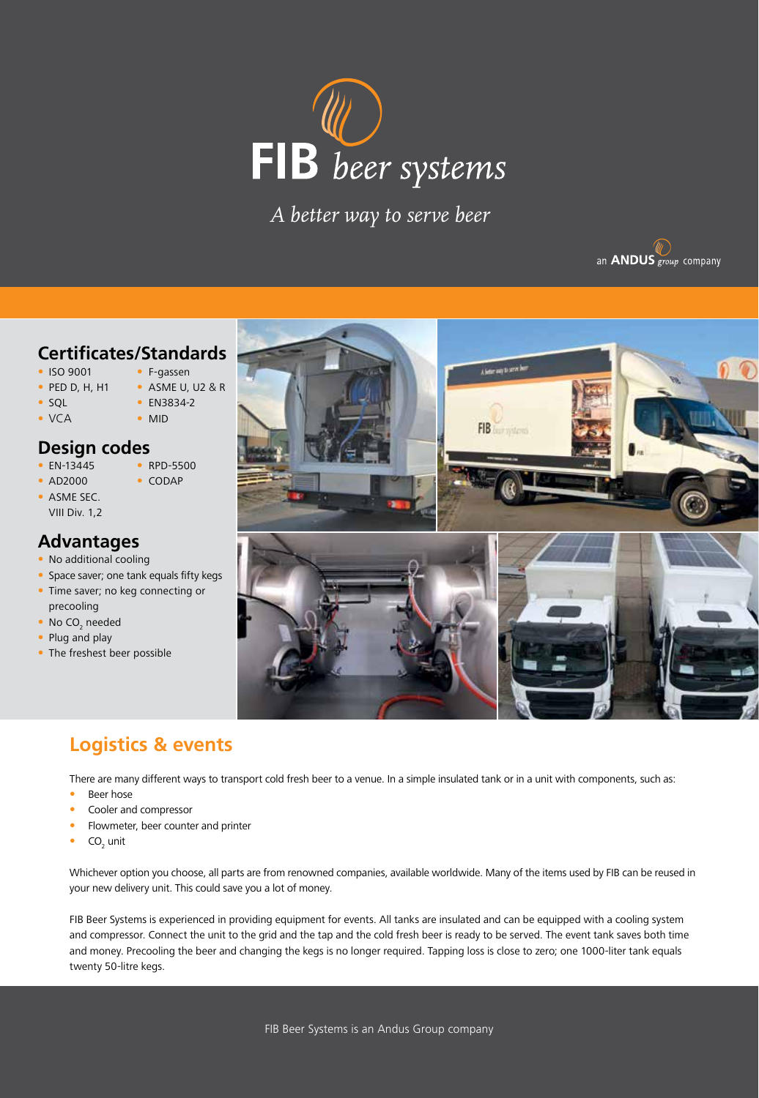

*A better way to serve beer*



### **Certificates/Standards**

- ISO 9001 F-gassen
- 
- PED D, H, H1 ASME U, U2 & R
- SQL EN3834-2
- VCA MID

### **Design codes**

- 
- EN-13445 RPD-5500
- ASME SEC.

# • AD2000 • CODAP

VIII Div. 1,2

# **Advantages**

- No additional cooling
- Space saver; one tank equals fifty kegs
- Time saver; no keg connecting or precooling
- $\bullet$  No CO<sub>2</sub> needed
- Plug and play
- The freshest beer possible



# **Logistics & events**

There are many different ways to transport cold fresh beer to a venue. In a simple insulated tank or in a unit with components, such as:

- Beer hose
- Cooler and compressor
- Flowmeter, beer counter and printer
- $CO<sub>2</sub>$  unit

Whichever option you choose, all parts are from renowned companies, available worldwide. Many of the items used by FIB can be reused in your new delivery unit. This could save you a lot of money.

FIB Beer Systems is experienced in providing equipment for events. All tanks are insulated and can be equipped with a cooling system and compressor. Connect the unit to the grid and the tap and the cold fresh beer is ready to be served. The event tank saves both time and money. Precooling the beer and changing the kegs is no longer required. Tapping loss is close to zero; one 1000-liter tank equals twenty 50-litre kegs.